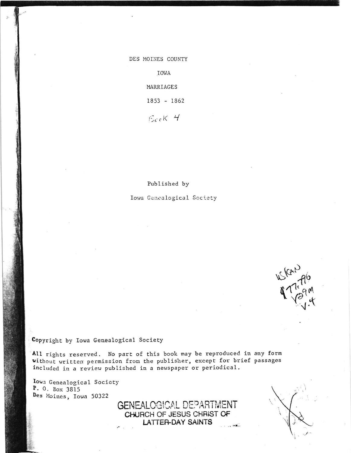## DES MOINES COUNTY

IOWA

MARRIAGES

1853 - 1862

 $EccK$  4

## Published by

Iowa Genealogical Society

 $W_{k}$ 

## Copyright by Iowa Genealogical Society

All rights reserved. No part of this book may be reproduced in any form without written permission from the publisher, except for brief passages included in a review published in a newspaper or periodical.

> GENEALOGICAL DEPARTMENT CHURCH OF JESUS CHRIST OF LATTER-DAY SAINTS

 $\sim$   $\sim$   $\sim$   $\sim$   $\sim$ 

Iowa Genealogical Society P. O. Box 3815 Des Moines, Iowa 50322